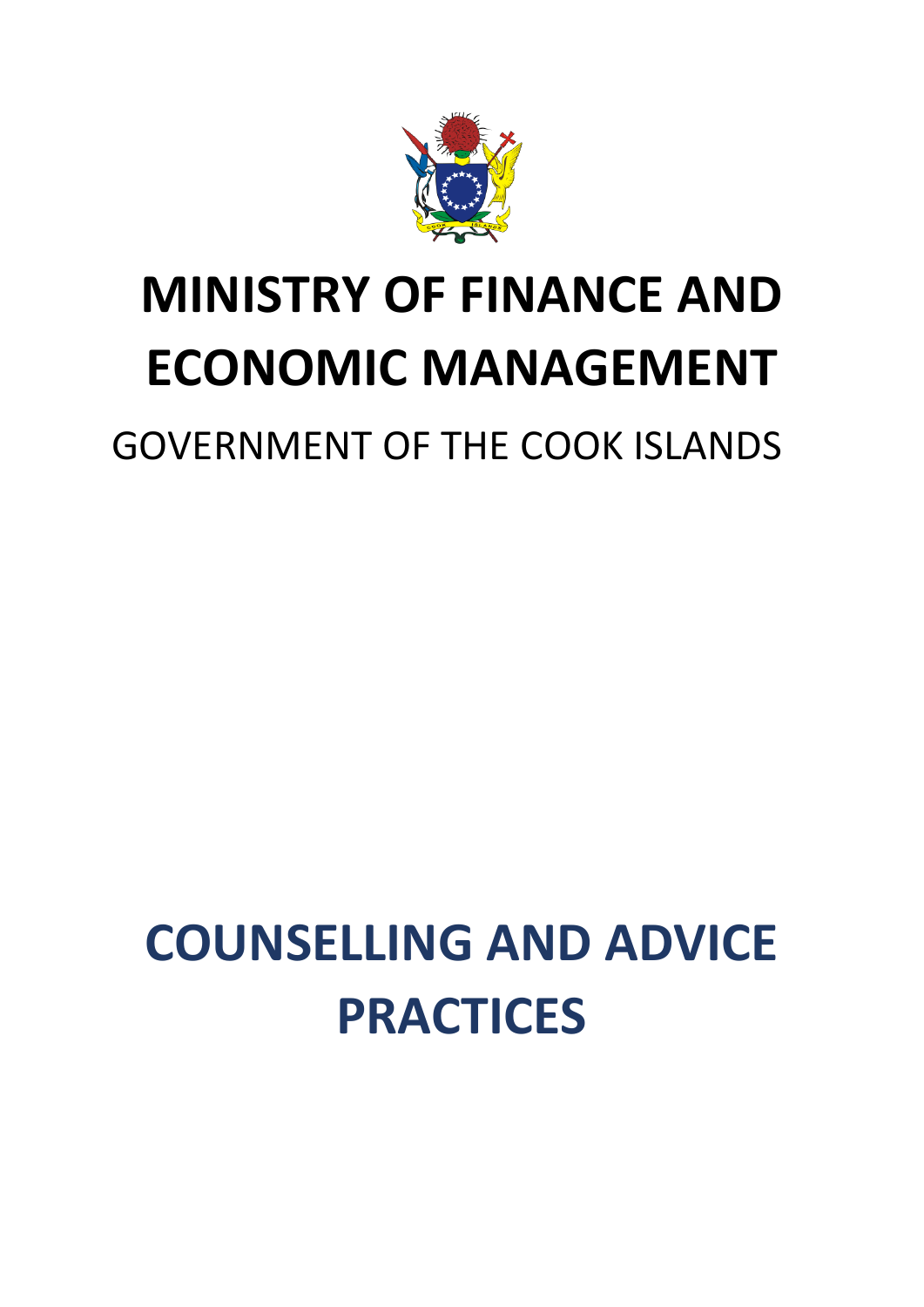

# **MINISTRY OF FINANCE AND ECONOMIC MANAGEMENT**

GOVERNMENT OF THE COOK ISLANDS

# **COUNSELLING AND ADVICE PRACTICES**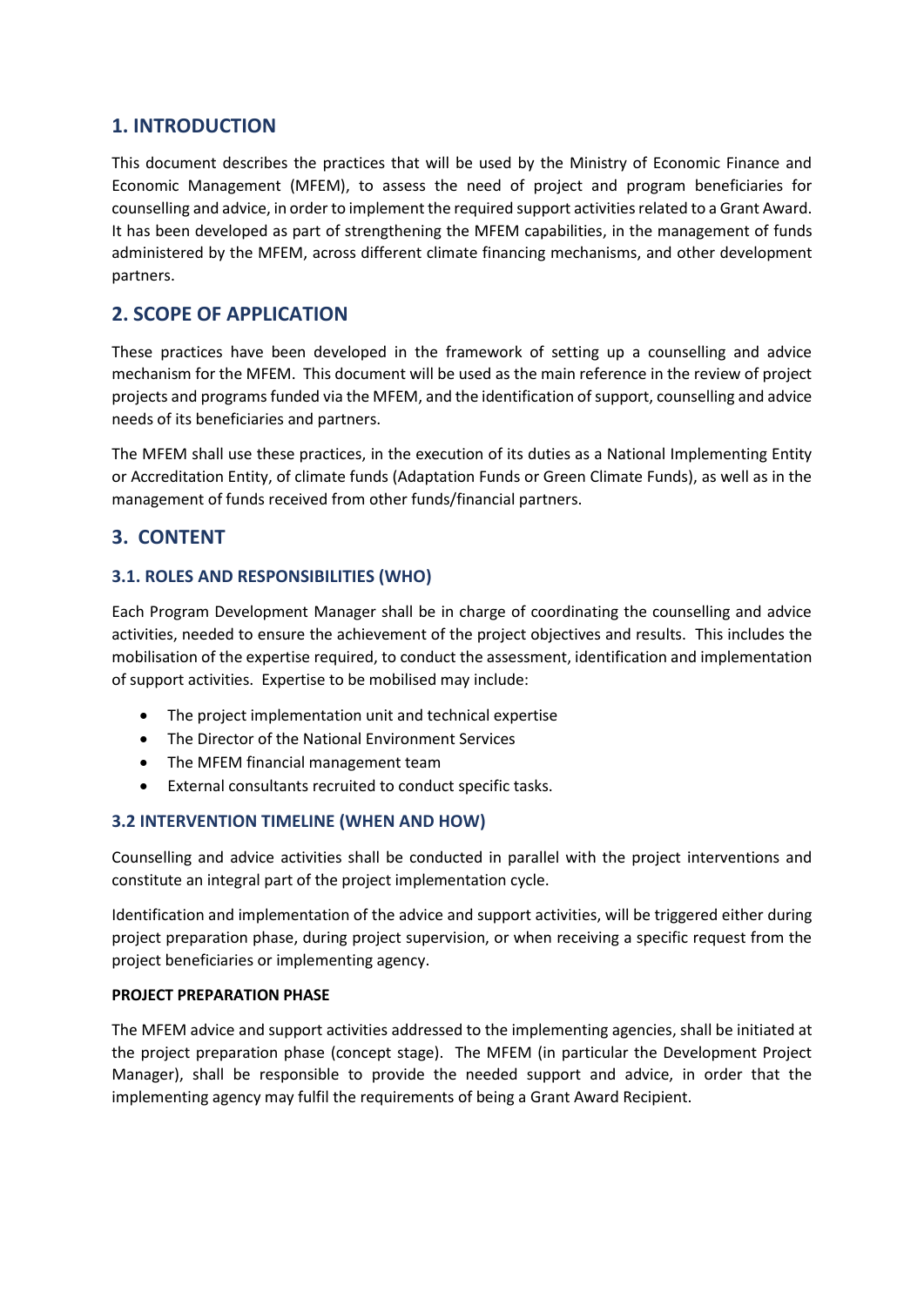## **1. INTRODUCTION**

This document describes the practices that will be used by the Ministry of Economic Finance and Economic Management (MFEM), to assess the need of project and program beneficiaries for counselling and advice, in order to implement the required support activities related to a Grant Award. It has been developed as part of strengthening the MFEM capabilities, in the management of funds administered by the MFEM, across different climate financing mechanisms, and other development partners.

# **2. SCOPE OF APPLICATION**

These practices have been developed in the framework of setting up a counselling and advice mechanism for the MFEM. This document will be used as the main reference in the review of project projects and programs funded via the MFEM, and the identification of support, counselling and advice needs of its beneficiaries and partners.

The MFEM shall use these practices, in the execution of its duties as a National Implementing Entity or Accreditation Entity, of climate funds (Adaptation Funds or Green Climate Funds), as well as in the management of funds received from other funds/financial partners.

## **3. CONTENT**

### **3.1. ROLES AND RESPONSIBILITIES (WHO)**

Each Program Development Manager shall be in charge of coordinating the counselling and advice activities, needed to ensure the achievement of the project objectives and results. This includes the mobilisation of the expertise required, to conduct the assessment, identification and implementation of support activities. Expertise to be mobilised may include:

- The project implementation unit and technical expertise
- The Director of the National Environment Services
- The MFEM financial management team
- External consultants recruited to conduct specific tasks.

#### **3.2 INTERVENTION TIMELINE (WHEN AND HOW)**

Counselling and advice activities shall be conducted in parallel with the project interventions and constitute an integral part of the project implementation cycle.

Identification and implementation of the advice and support activities, will be triggered either during project preparation phase, during project supervision, or when receiving a specific request from the project beneficiaries or implementing agency.

#### **PROJECT PREPARATION PHASE**

The MFEM advice and support activities addressed to the implementing agencies, shall be initiated at the project preparation phase (concept stage). The MFEM (in particular the Development Project Manager), shall be responsible to provide the needed support and advice, in order that the implementing agency may fulfil the requirements of being a Grant Award Recipient.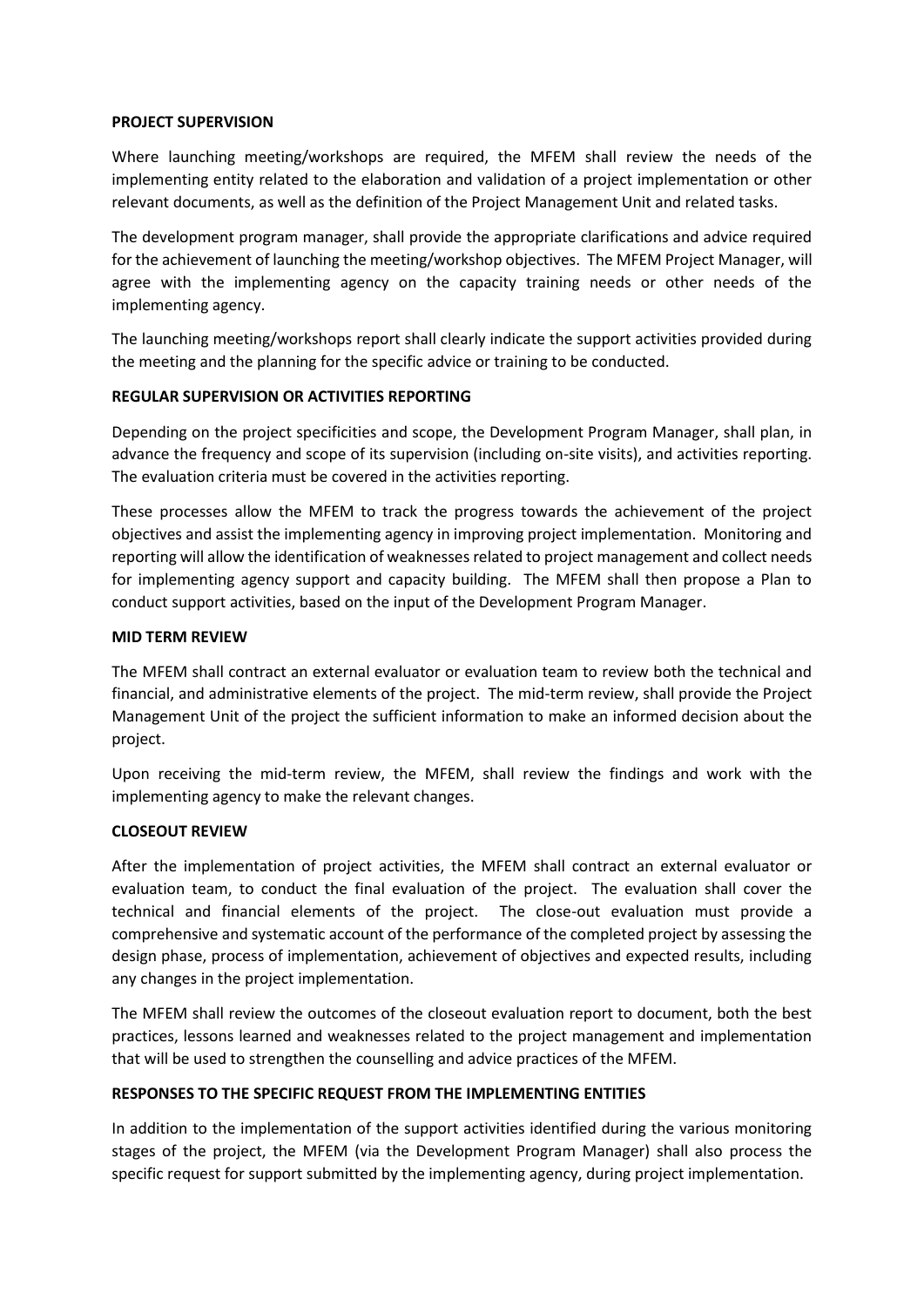#### **PROJECT SUPERVISION**

Where launching meeting/workshops are required, the MFEM shall review the needs of the implementing entity related to the elaboration and validation of a project implementation or other relevant documents, as well as the definition of the Project Management Unit and related tasks.

The development program manager, shall provide the appropriate clarifications and advice required for the achievement of launching the meeting/workshop objectives. The MFEM Project Manager, will agree with the implementing agency on the capacity training needs or other needs of the implementing agency.

The launching meeting/workshops report shall clearly indicate the support activities provided during the meeting and the planning for the specific advice or training to be conducted.

#### **REGULAR SUPERVISION OR ACTIVITIES REPORTING**

Depending on the project specificities and scope, the Development Program Manager, shall plan, in advance the frequency and scope of its supervision (including on-site visits), and activities reporting. The evaluation criteria must be covered in the activities reporting.

These processes allow the MFEM to track the progress towards the achievement of the project objectives and assist the implementing agency in improving project implementation. Monitoring and reporting will allow the identification of weaknesses related to project management and collect needs for implementing agency support and capacity building. The MFEM shall then propose a Plan to conduct support activities, based on the input of the Development Program Manager.

#### **MID TERM REVIEW**

The MFEM shall contract an external evaluator or evaluation team to review both the technical and financial, and administrative elements of the project. The mid-term review, shall provide the Project Management Unit of the project the sufficient information to make an informed decision about the project.

Upon receiving the mid-term review, the MFEM, shall review the findings and work with the implementing agency to make the relevant changes.

#### **CLOSEOUT REVIEW**

After the implementation of project activities, the MFEM shall contract an external evaluator or evaluation team, to conduct the final evaluation of the project. The evaluation shall cover the technical and financial elements of the project. The close-out evaluation must provide a comprehensive and systematic account of the performance of the completed project by assessing the design phase, process of implementation, achievement of objectives and expected results, including any changes in the project implementation.

The MFEM shall review the outcomes of the closeout evaluation report to document, both the best practices, lessons learned and weaknesses related to the project management and implementation that will be used to strengthen the counselling and advice practices of the MFEM.

#### **RESPONSES TO THE SPECIFIC REQUEST FROM THE IMPLEMENTING ENTITIES**

In addition to the implementation of the support activities identified during the various monitoring stages of the project, the MFEM (via the Development Program Manager) shall also process the specific request for support submitted by the implementing agency, during project implementation.